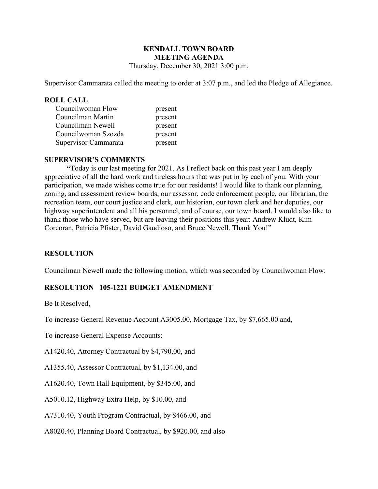# KENDALL TOWN BOARD MEETING AGENDA

Thursday, December 30, 2021 3:00 p.m.

Supervisor Cammarata called the meeting to order at 3:07 p.m., and led the Pledge of Allegiance.

### ROLL CALL

| Councilwoman Flow    | present |
|----------------------|---------|
| Councilman Martin    | present |
| Councilman Newell    | present |
| Councilwoman Szozda  | present |
| Supervisor Cammarata | present |

### SUPERVISOR'S COMMENTS

 "Today is our last meeting for 2021. As I reflect back on this past year I am deeply appreciative of all the hard work and tireless hours that was put in by each of you. With your participation, we made wishes come true for our residents! I would like to thank our planning, zoning, and assessment review boards, our assessor, code enforcement people, our librarian, the recreation team, our court justice and clerk, our historian, our town clerk and her deputies, our highway superintendent and all his personnel, and of course, our town board. I would also like to thank those who have served, but are leaving their positions this year: Andrew Kludt, Kim Corcoran, Patricia Pfister, David Gaudioso, and Bruce Newell. Thank You!"

### **RESOLUTION**

Councilman Newell made the following motion, which was seconded by Councilwoman Flow:

## RESOLUTION 105-1221 BUDGET AMENDMENT

Be It Resolved,

To increase General Revenue Account A3005.00, Mortgage Tax, by \$7,665.00 and,

To increase General Expense Accounts:

A1420.40, Attorney Contractual by \$4,790.00, and

A1355.40, Assessor Contractual, by \$1,134.00, and

A1620.40, Town Hall Equipment, by \$345.00, and

A5010.12, Highway Extra Help, by \$10.00, and

A7310.40, Youth Program Contractual, by \$466.00, and

A8020.40, Planning Board Contractual, by \$920.00, and also